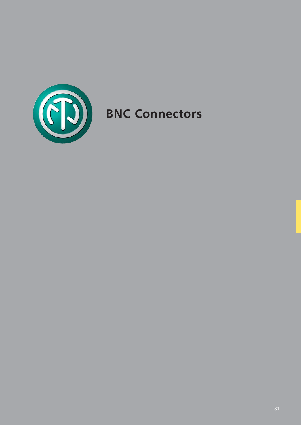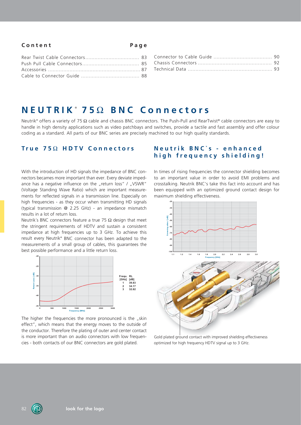### **Content Page**

# **NEUTRIK** ®  **75** 7 **BNC Connectors**

Neutrik® offers a variety of 75  $\Omega$  cable and chassis BNC connectors. The Push-Pull and RearTwist® cable connectors are easy to handle in high density applications such as video patchbays and switches, provide a tactile and fast assembly and offer colour coding as a standard. All parts of our BNC series are precisely machined to our high quality standards.

With the introduction of HD signals the impedance of BNC connectors becames more important than ever. Every deviate impedance has a negative influence on the "return loss" / "VSWR" (Voltage Standing Wave Ratio) which are important measurements for reflected signals in a transmission line. Especially on high frequencies - as they occur when transmitting HD signals (typical transmission @ 2.25 GHz) - an impedance mismatch results in a lot of return loss.

Neutrik's BNC connectors feature a true 75  $\Omega$  design that meet the stringent requirements of HDTV and sustain a consistent impedance at high frequencies up to 3 GHz. To achieve this result every Neutrik® BNC connector has been adapted to the measurements of a small group of cables, this guarantees the best possible performance and a little return loss.



The higher the frequencies the more pronounced is the  $n$ skin effect", which means that the energy moves to the outside of the conductor. Therefore the plating of outer and center contact is more important than on audio connectors with low frequencies - both contacts of our BNC connectors are gold plated.

### **True 75Ω HDTV Connectors Meutrik BNC's - enhanced high frequency shielding!**

In times of rising frequencies the connector shielding becomes to an important value in order to avoid EMI problems and crosstalking. Neutrik BNC's take this fact into account and has been equipped with an optimized ground contact design for maximum shielding effectiveness.



Gold plated ground contact with improved shielding effectiveness optimized for high frequency HDTV signal up to 3 GHz.

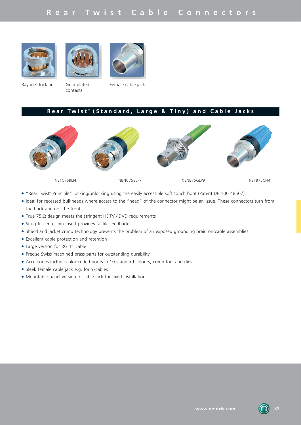# **Rear Twist Cable Connectors**







Bayonet locking Gold plated

contacts

Female cable jack

#### **Rear Twist** ®  **(Standard, Large & Tiny) and Cable Jacks**



- "Rear Twist® Principle" locking/unlocking using the easily accessible soft touch boot (Patent DE 100 48507)
- LIdeal for recessed bulkheads where access to the "head" of the connector might be an issue. These connectors turn from the back and not the front.
- $\bullet$  True 75  $\Omega$  design meets the stringent HDTV / DVD requirements
- Snug-fit center pin insert provides tactile feedback
- Shield and jacket crimp technology prevents the problem of an exposed grounding braid on cable assemblies
- Excellent cable protection and retention
- Large version for RG 11 cable
- Precise Swiss machined brass parts for outstanding durability
- Accessories include color coded boots in 10 standard colours, crimp tool and dies
- Sleek female cable jack e.g. for Y-cables
- $\bullet$  Mountable panel version of cable jack for fixed installations

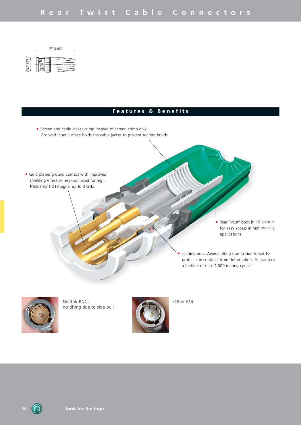

## **Features & Benefits**

• Screen and cable jacket crimp instead of screen crimp only. Grooved inner surface holds the cable jacket to prevent tearing braids.





Neutrik BNC: Other BNC no tilting due to side pull

**look for the logo**

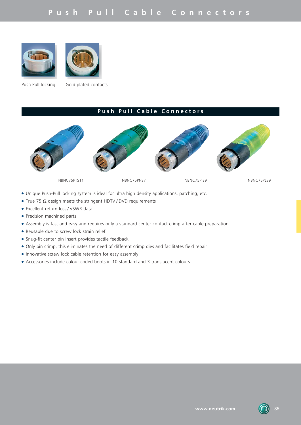



Push Pull locking Gold plated contacts

# **Push Pull Cable Connectors**



- Unique Push-Pull locking system is ideal for ultra high density applications, patching, etc.
- True 75  $\Omega$  design meets the stringent HDTV / DVD requirements
- Excellent return loss / VSWR data
- Precision machined parts
- LAssembly is fast and easy and requires only a standard center contact crimp after cable preparation
- Reusable due to screw lock strain relief
- Snug-fit center pin insert provides tactile feedback
- Only pin crimp, this eliminates the need of different crimp dies and facilitates field repair
- Innovative screw lock cable retention for easy assembly
- LAccessories include colour coded boots in 10 standard and 3 translucent colours

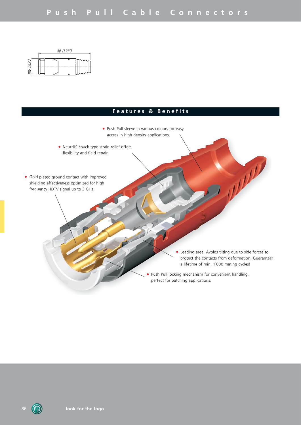

## **Features & Benefits**



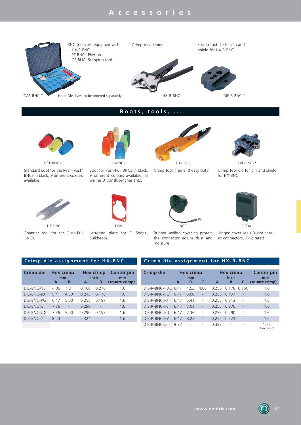

# **Boots, tools, ...**



Standard boot for the Rear Twist® BNCs in black, 9 different colours available.



Spanner tool for the Push-Pull BNCs.



Boot for Push-Pull BNCs in black,

9 different colours available, as well as 3 translucent variants.





Crimp tool, frame. (heavy duty) Crimp tool die for pin and shield for HX-BNC.



Lettering plate for D Shapebulkheads.



the connector agains dust and sis connectors, IP42 rated moisture



Rubber sealing cover to protect Hinged cover seals D-size chas-

|      | Hex crimp |       | <b>Hex crimp</b> | <b>Center pin</b><br>mm |
|------|-----------|-------|------------------|-------------------------|
| A    | в         | A     | В                | (square crimp)          |
| 4.06 | 7.01      | 0.160 | 0 2 7 6          | 1.6                     |
| 5.41 | 4.53      | 0.213 | 0.178            | 1.6                     |
| 6.47 | 5.00      | 0 255 | 0.197            | 1.6                     |
| 7.36 |           | 0.290 |                  | 1.6                     |
| 7.36 | 5.00      | 0.290 | 0.197            | 1.6                     |
| 8.23 |           | 0.324 |                  | 1.6                     |
|      |           | mm    |                  | inch                    |

#### **Crimp die assignment for HX-BNC Crimp die assignment for HX-R-BNC**

| Crimp die          | A    | Hex crimp<br>mm<br>B | C              | A     | Hex crimp<br>inch<br>в | C     | <b>Center pin</b><br>mm<br>(square crimp) |
|--------------------|------|----------------------|----------------|-------|------------------------|-------|-------------------------------------------|
| DIE-R-BNC-PDC 6.47 |      | 4.53                 | 4.06           | 0 255 | በ 178                  | 0 160 | 1.6                                       |
| DIE-R-BNC-PG       | 6.47 | 5.00                 |                | 0.255 | 0.197                  |       | 1.6                                       |
| DIE-R-BNC-PJ       | 647  | 5.41                 |                | 0 255 | 0.213                  |       | 1.6                                       |
| DIE-R-BNC-PS       | 647  | 7.01                 | $\overline{a}$ | 0.255 | 0.276                  |       | 1.6                                       |
| DIE-R-BNC-PU       | 6.47 | 736                  |                | 0.255 | 0.290                  |       | 1.6                                       |
| DIE-R-BNC-PY       | 6.47 | 8.23                 |                | 0.255 | 0.324                  |       | 1.6                                       |
| DIE-R-BNC-Z        | 973  | ۰                    |                | 0.383 |                        |       | 175<br>(Hex crimp)                        |

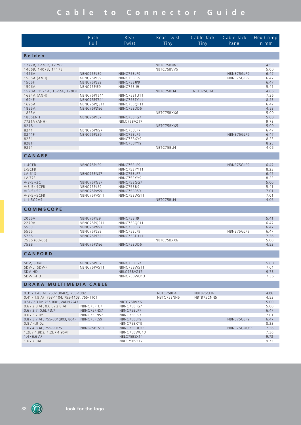|                            | Push                      | Rear                      | <b>Rear Twist</b> | Cable Jack | Cable Jack | Hex Crimp    |
|----------------------------|---------------------------|---------------------------|-------------------|------------|------------|--------------|
|                            | Pull                      | Twist                     | Tiny              | Tiny       | Panel      | in mm        |
|                            |                           |                           |                   |            |            |              |
| Belden                     |                           |                           |                   |            |            |              |
| 1277R, 1278R, 1279R        |                           |                           | NBTC75BNN5        |            |            | 4.53         |
| 1406B, 1407B, 1417B        |                           |                           | NBTC75BVV5        |            |            | 5.00         |
| 1426A                      | NBNC75PLS9                | NBNC75BLP9                |                   |            | NBNB75GLP9 | 6.47         |
| 1505A (ANH)                | NBNC75PLS9                | NBNC75BLP9                |                   |            | NBNB75GLP9 | 6.47         |
| 1505F                      | NBNC75PLS9                | NBNC75BJP9                |                   |            |            | 6.47         |
| 1506A                      | NBNC75PIE9                | NBNC75BIJ9                |                   |            |            | 5.41         |
| 1520A, 1521A, 1522A, 179DT |                           |                           | NBTC75BFI4        | NBTB75CFI4 |            | 4.06         |
| 1694A (ANH)                | NBNC75PTS11               | NBNC75BTU11               |                   |            |            | 7.36         |
| 1694F                      | NBNC75PTS11               | NBNC75BTY11               |                   |            |            | 8.23         |
| 1695A<br>1855A             | NBNC75PQS11<br>NBNC75PDE6 | NBNC75BQP11<br>NBNC75BDD6 |                   |            |            | 6.47<br>4.53 |
| 1865A                      |                           |                           | NBTC75BXX6        |            |            | 5.00         |
| 1855ENH                    | NBNC75PFE7                | NBNC75BFG7                |                   |            |            | 5.00         |
| 7731A (ANH)                |                           | NBLC75BVZ17               |                   |            |            | 9.73         |
| 8218                       |                           |                           | NBTC75BXX5        |            |            | 5.00         |
| 8241                       | NBNC75PNS7                | NBNC75BLP7                |                   |            |            | 6.47         |
| 8241F                      | NBNC75PLS9                | NBNC75BLP9                |                   |            | NBNB75GLP9 | 6.47         |
| 8281                       |                           | NBNC75BXY9                |                   |            |            | 8.23         |
| 8281F                      |                           | NBNC75BYY9                |                   |            |            | 8.23         |
| 9221                       |                           |                           | NBTC75BLI4        |            |            | 4.06         |
| CANARE                     |                           |                           |                   |            |            |              |
|                            |                           |                           |                   |            |            |              |
| L-4CFB                     | NBNC75PLS9                | NBNC75BLP9                |                   |            | NBNB75GLP9 | 6.47         |
| L-5CFB                     |                           | NBNC75BYY11               |                   |            |            | 8.23         |
| $LV-61S$                   | NBNC75PNS7                | NBNC75BLP7                |                   |            |            | 6.47         |
| LV-775                     |                           | NBNC75BYY9                |                   |            |            | 8.23         |
| $V(3-5)-3C$                | NBNC75PGE7                | NBNC75BGG7                |                   |            |            | 5.00         |
| $V(3-5)-4CFB$              | NBNC75PLE9                | NBNC75BJJ9                |                   |            |            | 5.41         |
| $V(3-5)-5C$                | NBNC75PVS9                | NBNC75BRS9                |                   |            |            | 7.01         |
| $V(3-5)-5CFB$              | NBNC75PVS11               | NBNC75BWS11               |                   |            |            | 7.01         |
| $L-1.5C2VS$                |                           |                           | NBTC75BLI4        |            |            | 4.06         |
| <b>COMMSCOPE</b>           |                           |                           |                   |            |            |              |
|                            |                           |                           |                   |            |            |              |
| 2065V                      | NBNC75PIE9                | NBNC75BIJ9                |                   |            |            | 5.41         |
| 2279V                      | NBNC75PQS11               | NBNC75BQP11               |                   |            |            | 6.47         |
| 5563                       | NBNC75PNS7                | NBNC75BLP7                |                   |            |            | 6.47         |
| 5565                       | NBNC75PLS9                | NBNC75BLP9                |                   |            | NBNB75GLP9 | 6.47         |
| 5765<br>7536 (03-05)       | NBNC75PTS11               | NBNC75BTU11               | NBTC75BXX6        |            |            | 7.36<br>5.00 |
| 7538                       | NBNC75PDE6                | NBNC75BDD6                |                   |            |            | 4.53         |
|                            |                           |                           |                   |            |            |              |
| CANFORD                    |                           |                           |                   |            |            |              |
| SDV, SDM                   | NBNC75PFE7                | NBNC75BFG7                |                   |            |            | 5.00         |
| SDV-L, SDV-F               | NBNC75PVS11               | NBNC75BWS11               |                   |            |            | 7.01         |
| SDV-HD                     |                           | NBLC75BVZ17               |                   |            |            | 9.73         |
| SDV-F-HD                   |                           | NBNC75BWU13               |                   |            |            | 7.36         |
|                            |                           |                           |                   |            |            |              |
| DRAKA MULTIMEDIA CABLE     |                           |                           |                   |            |            |              |

| 0.31 / 1.45 AF, 753-1304(2), 755-1302       |             |             | NBTC75BFI4 | NBTB75CFI4 |             | 4.06 |
|---------------------------------------------|-------------|-------------|------------|------------|-------------|------|
| 0.41 / 1.9 AF, 753-1104, 755-1103, 755-1101 |             |             | NBTC75BNN5 | NBTB75CNN5 |             | 4.53 |
| 0.51 / 2.3 Dz, 757-1001, VADN 7243          |             | NBTC75BVX6  |            |            |             | 5.00 |
| $0.6$ / 2.8 AF, $0.6$ L / 2.8 AF            | NBNC75PFE7  | NBNC75BFG7  |            |            |             | 5.00 |
| 0.6 / 3.7, 0.6 L / 3.7                      | NBNC75PNS7  | NBNC75BLP7  |            |            |             | 6.47 |
| $0.6/3.7$ Dz                                | NBNC75PNS7  | NBNC75BLS7  |            |            |             | 7.01 |
| $0.8$ / 3.7 AF, 755-801(803, 804)           | NBNC75PLS9  | NBNC75BLP9  |            |            | NBNB75GLP9  | 6.47 |
| $0.8/4.9$ Dz                                |             | NBNC75BXY9  |            |            |             | 8.23 |
| 1.0 / 4.8 AF, 755-901/5                     | NBNB75PTS11 | NBNC75BUU11 |            |            | NBNB75GUU11 | 7.36 |
| 1.2L / 4.8Dz, 1.2L / 4.95AF                 |             | NBNC75BWU13 |            |            |             | 7.36 |
| $1.4/6.6$ AF                                |             | NBLC75BSX14 |            |            |             | 9.73 |
| 1.6 / 7.3AF                                 |             | NBLC75BVZ17 |            |            |             | 9.73 |
|                                             |             |             |            |            |             |      |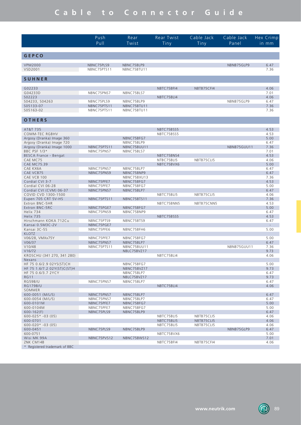|                                              | Push<br>Pull              | Rear<br>Twist             | Rear Twist<br>Tiny | Cable Jack<br>Tiny | Cable Jack<br>Panel | Hex Crimp<br>$in$ $mm$ |
|----------------------------------------------|---------------------------|---------------------------|--------------------|--------------------|---------------------|------------------------|
|                                              |                           |                           |                    |                    |                     |                        |
| <b>GEPCO</b>                                 |                           |                           |                    |                    |                     |                        |
| <b>VPM2000</b><br>VSD2001                    | NBNC75PLS9<br>NBNC75PTS11 | NBNC75BLP9<br>NBNC75BTU11 |                    |                    | NBNB75GLP9          | 6.47<br>7.36           |
| <b>SUHNER</b>                                |                           |                           |                    |                    |                     |                        |
| G02233                                       |                           |                           | NBTC75BFI4         | NBTB75CFI4         |                     | 4.06                   |
| G04233D                                      | NBNC75PNS7                | NBNC75BLS7                |                    |                    |                     | 7.01                   |
| S02223<br>S04233, S04263                     | NBNC75PLS9                | NBNC75BLP9                | NBTC75BLI4         |                    | NBNB75GLP9          | 4.06<br>6.47           |
| S05133-07                                    | NBNC75PTS11               | NBNC75BTU11               |                    |                    |                     | 7.36                   |
| S05163-02                                    | NBNC75PTS11               | NBNC75BTU11               |                    |                    |                     | 7.36                   |
| OTHERS                                       |                           |                           |                    |                    |                     |                        |
| AT&T 735                                     |                           |                           | NBTC75BSS5         |                    |                     | 4.53                   |
| COMM-TEC RGBHV                               |                           |                           | NBTC75BSS5         |                    |                     | 4.53                   |
| Argosy (Dranka) Image 360                    |                           | NBNC75BFG7                |                    |                    |                     | 5.00                   |
| Argosy (Dranka) Image 720                    |                           | NBNC75BLP9                |                    |                    | NBNB75GUU11         | 6.47                   |
| Argosy (Dranka) Image 1000<br>BBC PSF 1/3*   | NBNC75PTS11<br>NBNC75PNS7 | NBNC75BUU11<br>NBNC75BLS7 |                    |                    |                     | 7.36<br>7.01           |
| BESCA France - Bengat                        |                           |                           | NBTC75BNS4         |                    |                     | 4.53                   |
| CAE MC75                                     |                           |                           | NTBC75BLI5         | NBTB75CLI5         |                     | 4.06                   |
| <b>CAE MC75.39</b><br>CAE KX6A               | NBNC75PNS7                | NBNC75BLP7                | NBTC75BVX6         |                    |                     | 5.00<br>6.47           |
| CAE VCB75                                    | NBNC75PNS9                | NBNC75BNP9                |                    |                    |                     | 6.47                   |
| CAE VCB 100                                  |                           | NBNC75BXU13               |                    |                    |                     | 7.36                   |
| Cordial CVI 3-7                              | NBNC75PFE7                | NBNC75BFG7                |                    |                    |                     | 4.53<br>5.00           |
| Cordial CVI 06-28<br>Cordial CVI (CVM) 06-37 | NBNC75PFE7<br>NBNC75PNS7  | NBNC75BFG7<br>NBNC75BLP7  |                    |                    |                     | 6.47                   |
| COVID CVD 1300-1500                          |                           |                           | NBTC75BLI5         | NBTB75CLI5         |                     | 4.06                   |
| Eupen 705 CRT 5V-HS                          | NBNC75PTS11               | NBNC75BTS11               |                    |                    |                     | 7.36                   |
| Extron BNC-5HR<br>Extron BNC-5RC             | NBNC75PGE7                | NBNC75BFG7                | NBTC75BNN5         | NBTB75CNN5         |                     | 4.53<br>5.00           |
| Helix 734                                    | NBNC75PNS9                | NBNC75BNP9                |                    |                    |                     | 6.47                   |
| Helix 735                                    |                           |                           | NBTC75BSS5         |                    |                     | 4.53                   |
| Hirschmann KOKA 712Cu<br>Kansai 0.5M3C-2V    | NBNC75PTS9<br>NBNC75PGE7  | NBNC75BTS9                |                    |                    |                     | 6.47                   |
| Kansai 3C-5S                                 | NBNC75PFE6                | NBNC75BFH6                |                    |                    |                     | 5.00                   |
| <b>KLOTZ</b>                                 |                           |                           |                    |                    |                     |                        |
| V06/28, VMXx75Y                              | NBNC75PFE7                | NBNC75BFG7                |                    |                    |                     | 5.00                   |
| V06/37<br>V10/48                             | NBNC75PNS7<br>NBNC75PTS11 | NBNC75BLP7<br>NBNC75BUU11 |                    |                    | NBNB75GUU11         | 6.47<br>7.36           |
| V16/72                                       |                           | NBLC75BVZ17               |                    |                    |                     | 9.73                   |
| KROSCHU (341 270, 341 280)<br>Nexans         |                           |                           | NBTC75BLI4         |                    |                     | 4.06                   |
| HF 75 0.6/2.9 02YS(ST)CH                     |                           | NBNC75BFG7                |                    |                    |                     | 5.00                   |
| HF 75 1.6/7.2 02Y(ST)C(ST)H                  |                           | NBNC75BVZ17               |                    |                    |                     | 9.73                   |
| HF 75 0.6/3.7 2YCY<br><b>RG11</b>            |                           | NBNC75BLP7<br>NBLC75BVZ17 |                    |                    |                     | 6.47<br>9.73           |
| RG59B/U                                      | NBNC75PNS7                | NBNC75BLP7                |                    |                    |                     | 6.47                   |
| <b>RG179B/U</b>                              |                           |                           | NBTC75BLI4         |                    |                     | 4.06                   |
| SOMMER<br>600-0051 (M/L/S)                   | NBNC75PNS7                | NBNC75BLP7                |                    |                    |                     | 6.47                   |
| 600-0054 (M/L/S)                             | NBNC75PNS7                | NBNC75BLP7                |                    |                    |                     | 6.47                   |
| 600-0101M                                    | NBNC75PFE7                | NBNC75BFG7                |                    |                    |                     | 5.00                   |
| 600-0104M                                    | NBNC75PFE7                | NBNC75BFG7                |                    |                    |                     | 5.00                   |
| $600 - 162(F)$<br>$600 - 025$ * -03 (05)     | NBNC75PLS9                | NBNC75BLP9                | NBTC75BLI5         | NBTB75CLI5         |                     | 6.47<br>4.06           |
| 600-0701                                     |                           |                           | NBTC75BLI5         | NBTB75CLI5         |                     | 4.06                   |
| $600 - 020* -03(05)$                         |                           |                           | NBTC75BLI5         | NBTB75CLI5         |                     | 4.06                   |
| 600-0451<br>600-0751                         | NBNC75PLS9                | NBNC75BLP9                |                    |                    | NBNB75GLP9          | 6.47<br>5.00           |
| Wisi MK 99A                                  | NBNC75PVS12               | NBNC75BWS12               | NBTC75BVX6         |                    |                     | 7.01                   |
| ZNK CM14B                                    |                           |                           | NBTC75BFI4         | NBTB75CFI4         |                     | 4.06                   |
| * Registered trademark of BBC                |                           |                           |                    |                    |                     |                        |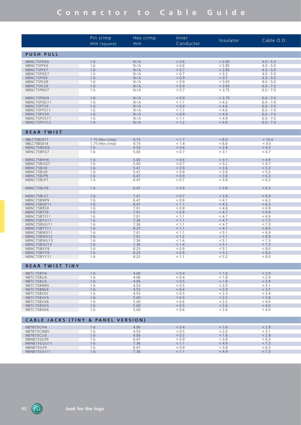|                                               | Pin crimp<br>mm (square) | Hex crimp<br>mm | Inner<br>Conductor | Insulator | Cable O.D.  |
|-----------------------------------------------|--------------------------|-----------------|--------------------|-----------|-------------|
| <b>PUSH PULL</b>                              |                          |                 |                    |           |             |
| NBNC75PDE6                                    | 1.6                      | N/A             | < 0.6              | < 2.65    | $4.0 - 5.0$ |
| NBNC75PFE6                                    | 1.6                      | N/A             | ${}_{0.6}$         | < 2.85    | $4.0 - 5.0$ |
| NBNC75PFE7                                    | 1.6                      | N/A             | < 0.7              | < 2.85    | $4.0 - 5.0$ |
| NBNC75PGE7                                    | 1.6                      | N/A             | < 0.7              | < 3.2     | $4.0 - 5.0$ |
| NBNC75PIE9                                    | 1.6                      | N/A             | < 0.9              | < 3.5     | $4.0 - 5.0$ |
| NBNC75PLE9                                    | 1.6                      | N/A             | ${}_{0.9}$         | < 3.65    | $4.0 - 5.0$ |
|                                               | 1.6                      | N/A             | < 0.9              | < 3.65    |             |
| NBNC75PLS9                                    |                          |                 |                    |           | $6.0 - 7.0$ |
| NBNC75PNS7                                    | 1.6                      | N/A             | < 0.7              | < 3.75    | $6.0 - 7.0$ |
| NBNC75PNS9                                    | 1.6                      | N/A             | < 0.9              | < 3.75    | $6.0 - 7.0$ |
| NBNC75PQS11                                   | 1.6                      | N/A             | < 1.1              | < 4.3     | $6.0 - 7.0$ |
| NBNC75PTS9                                    | 1.6                      | N/A             | < 0.9              | < 4.6     | $6.0 - 7.0$ |
| NBNC75PTS11                                   | 1.6                      | N/A             | < 1.1              | < 4.6     | $6.0 - 7.0$ |
| NBNC75PVS9                                    | 1.6                      | N/A             | < 0.9              | < 4.9     | $6.0 - 7.0$ |
| NBNC75PVS11                                   | 1.6                      | N/A             | < 1.1              | < 4.9     | $6.0 - 7.0$ |
| NBNC75PVS12                                   | 1.6                      | N/A             | < 1.2              | < 4.9     | $6.0 - 7.0$ |
|                                               |                          |                 |                    |           |             |
| <b>REAR TWIST</b>                             |                          |                 |                    |           |             |
| NBLC75BVZ17                                   | 1.75 (Hex crimp)         | 9.73            | < 1.7              | < 8.0     | < 10.4      |
| NBLC75BSX14                                   | 1.75 (Hex crimp)         | 9.73            | < 1.4              | < 6.6     | < 9.5       |
| NBNC75BDD6                                    | 1.6                      | 4.53            | < 0.6              | < 2.8     | < 4.3       |
| NBNC75BFG7                                    | 1.6                      | 5.00            | < 0.7              | < 3.1     | < 4.7       |
| NBNC75BFH6                                    | 1.6                      | 5.00            | < 0.6              | < 3.1     | < 4.9       |
| NBNC75BGG7                                    | 1.6                      | 5.00            | < 0.7              | < 3.2     | < 4.7       |
| NBNC75BIJ9                                    | 1.6                      | 5.41            | < 0.9              | < 3.6     | < 5.3       |
| NBNC75BJJ9                                    | 1.6                      | 5.41            | < 0.9              | < 3.8     | < 5.3       |
| NBNC75BJP9                                    | 1.6                      | 6.47            | < 0.9              | < 3.8     | < 6.3       |
| NBNC75BLP7                                    | 1.6                      | 6.47            | < 0.7              | < 3.8     | < 6.3       |
| NBNC75BLP9                                    | 1.6                      | 6.47            | < 0.9              | < 3.8     | < 6.3       |
| NBNC75BLS7                                    | 1.6                      | 7.01            | < 0.7              | < 3.8     | < 6.9       |
| NBNC75BNP9                                    | 1.6                      | 6.47            | ${}_{0.9}$         | < 4.1     | < 6.3       |
| NBNC75BQP11                                   | 1.6                      | 6.47            | < 1.1              | < 4.5     | < 6.3       |
| NBNC75BRS9                                    | 1.6                      | 7.01            | ${}_{0.9}$         | < 4.8     | < 6.9       |
| NBNC75BTS9                                    | 1.6                      | 7.01            | < 0.9              | < 4.7     | < 6.9       |
|                                               | 1.6                      | 7.01            | < 1.1              | < 4.7     | < 6.9       |
| NBNC75BTS11                                   |                          |                 |                    | < 4.7     | < 7.3       |
| NBNC75BTU11                                   | 1.6                      | 7.36            | < 1.1              |           |             |
| NBNC75BUU11                                   | 1.6                      | 7.36            | < 1.1              | < 4.7     | < 7.3       |
| NBNC75BTY11                                   | 1.6                      | 8.23            | < 1.1              | < 4.7     | < 8.0       |
| NBNC75BWS11                                   | 1.6                      | 7.01            | < 1.1              | < 5.1     | < 6.9       |
| NBNC75BWS12                                   | 1.6                      | 7.01            | < 1.2              | < 5.1     | < 6.9       |
| NBNC75BWU13                                   | 1.6                      | 7.36            | < 1.4              | < 5.1     | < 7.3       |
| NBNC75BXU13                                   | 1.6                      | 7.36            | < 1.4              | < 5.1     | < 7.3       |
| NBNC75BXY9                                    | 1.6                      | 8.23            | < 0.9              | < 5.1     | < 8.0       |
| NBNC75BYY9                                    | 1.6                      | 8.23            | < 0.9              | < 5.2     | < 8.0       |
| NBNC75BYY11                                   | 1.6                      | 8.23            | < 1.1              | < 5.2     | < 8.0       |
| <b>REAR TWIST TINY</b>                        |                          |                 |                    |           |             |
| NBTC75BFI4                                    | 1.6                      | 4.06            | < 0.4              | < 1.6     | < 2.9       |
|                                               |                          |                 |                    |           |             |
| NBTC75BLI4                                    | 1.6                      | 4.06            | < 0.4              | < 1.8     | < 2.9       |
| NBTC75BLI5                                    | 1.6                      | 4.06            | < 0.5              | < 1.8     | < 2.9       |
| NBTC75BNN5                                    | 1.6                      | 4.53            | ${}_{0.5}$         | < 2.0     | < 3.1       |
| NBTC75BNS4                                    | 1.6                      | 4.53            | < 0.4              | < 2.0     | < 3.5       |
| NBTC75BSS5                                    | 1.6                      | 4.53            | < 0.5              | < 2.3     | < 3.4       |
| NBTC75BVV5                                    | 1.6                      | 5.00            | < 0.5              | < 2.5     | < 3.8       |
| NBTC75BVX6                                    | 1.6                      | 5.00            | < 0.6              | < 2.5     | < 4.0       |
| NBTC75BXX5                                    | 1.6                      | 5.00            | < 0.5              | < 2.6     | < 4.0       |
| NBTC75BXX6                                    | 1.6                      | 5.00            | < 0.6              | < 2.6     | < 4.0       |
| <b>CABLE JACKS (TINY &amp; PANEL VERSION)</b> |                          |                 |                    |           |             |
| NBTB75CFI4                                    | 1.6                      | 4.06            | < 0.4              | < 1.6     | < 2.9       |
| NBTB75CNN5                                    | 1.6                      | 4.53            | < 0.5              | < 2.0     | < 3.1       |
| NBTB75CLI5                                    | 1.6                      | 4.06            | < 0.5              | < 1.8     | < 2.9       |
| NBNB75GLP9                                    | 1.6                      | 6.47            | ${}_{0.9}$         | < 3.8     | < 6.3       |
| NBNB75GUU11                                   | 1.6                      | 7.36            | < 1.1              | < 4.9     | < 7.3       |
| NBNB75ILP9                                    | 1.6                      | 6.47            | ${}_{0.9}$         | < 3.8     | < 6.3       |
| NBNB75IUU11                                   | 1.6                      | 7.36            | < 1.1              | < 4.9     | < 7.3       |
|                                               |                          |                 |                    |           |             |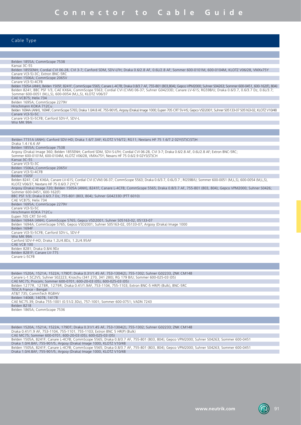#### Cable Type

| Belden 1855A; CommScope 7538                                                                                                                                                    |
|---------------------------------------------------------------------------------------------------------------------------------------------------------------------------------|
| Kansai 3C-5S                                                                                                                                                                    |
| Belden 1855ENH; Cordial CVI 06-28, CVI 3-7; Canford SDM, SDV-LFH; Draka 0.6/2.8 AF, 0.6L/2.8 AF; Sommer 600-0101M, 600-0104M, KLOTZ V06/28, VMXx75Y                             |
| Canare V(3-5)-3C; Extron BNC-5RC                                                                                                                                                |
| Belden 1506A; CommScope 2065V                                                                                                                                                   |
| Canare V(3-5)-4CFB                                                                                                                                                              |
| Belden 1505A (ANH), Belden 1505F; 8241F; CommScope 5565; Canare L-4CFB; Draka 0.8/3.7 AF, 755-801 (803,804); Gepco VPM2000; Suhner S04263; Sommer 600-0451, 600-162(F), 804)    |
| Belden 8241; BBC PSF 1/3, CAE KX6A; CommScope 5563; Cordial CVI (CVM) 06-37; Suhner G04233D; Canare LV-61S; RG59B/U; Draka 0.6/3.7, 0.6/3.7 Dz, 0.6L/3.7;                       |
| Sommer 600-0051 (M,L,S), 600-0054 (M,L,S), KLOTZ V06/37                                                                                                                         |
| CAE VCB75; Helix 734                                                                                                                                                            |
| Belden 1695A; CommScope 2279V<br>Hirschmann KOKA 712Cu                                                                                                                          |
| Belden 1694A (ANH), 1694F; CommScope 5765; Draka 1.0/4.8 AF, 755-901/5, Argosy (Draka) Image 1000; Eupen 705 CRT 5V-HS; Gepco VSD2001; Suhner S05133-07 S05163-02, KLOTZ V10/48 |
| Canare V(3-5)-5C                                                                                                                                                                |
| Canare V(3-5)-5CFB; Canford SDV-F, SDV-L                                                                                                                                        |
| Wisi MK 99A                                                                                                                                                                     |
|                                                                                                                                                                                 |
|                                                                                                                                                                                 |
|                                                                                                                                                                                 |
| Belden 7731A (ANH); Canford SDV-HD; Draka 1.6/7.3AF; KLOTZ V16/72; RG11; Nextans HF 75 1.6/7.2 02Y(ST)C(ST)H                                                                    |
| Draka 1.4 / 6.6 AF                                                                                                                                                              |
| Belden 1855A; CommScope 7538                                                                                                                                                    |
| Argosy (Draka) Image 360; Belden 1855ENH; Canford SDM, SDV-S-LFH; Cordial CVI 06-28, CVI 3-7; Draka 0.6/2.8 AF, 0.6L/2.8 AF; Extron BNC-5RC;                                    |
| Sommer 600-0101M, 600-0104M, KLOTZ V06/28, VMXx75Y; Nexans HF 75 0.6/2.9 02YS(ST)CH                                                                                             |
| Kansai 3C-5S<br>Canare V(3-5)-3C                                                                                                                                                |
| Belden 1506A,;CommScope 2065V                                                                                                                                                   |
| Canare V(3-5)-4CFB                                                                                                                                                              |
| Belden 1505F                                                                                                                                                                    |
| Belden 8241; CAE KX6A; Canare LV-61S; Cordial CVI (CVM) 06-37; CommScope 5563; Draka 0.6/3.7, 0.6L/3.7; RG59B/U; Sommer 600-0051 (M,L,S), 600-0054 (M,L,S),                     |
| KLOTZ V06/37; Nextans HF 75 0.6/3.7 2YCY                                                                                                                                        |
| Argosy (Draka) Image 720; Belden 1505A (ANH), 8241F; Canare L-4CFB; CommScope 5565; Draka 0.8/3.7 AF, 755-801 (803, 804); Gepco VPM2000; Suhner S0426;                          |
| Sommer 600-0451, 600-162(F)                                                                                                                                                     |
| BBC PSF 1/3; Draka 0.6/3.7 Dz, 755-801 (803, 804); Suhner G04233D (PTT 6010)                                                                                                    |
| CAE VCB75: Helix 734                                                                                                                                                            |
| Belden 1695A; CommScope 2279V                                                                                                                                                   |
| Canare V(3-5)-5C                                                                                                                                                                |
| Hirschmann KOKA 712Cu<br>Eupen 705 CRT 5V-HS                                                                                                                                    |
| Belden 1694A (ANH); CommScope 5765; Gepco VSD2001; Suhner S05163-02, 05133-07                                                                                                   |
| Belden 1694A; CommScope 5765; Gepco VSD2001; Suhner S05163-02, 05133-07; Argosy (Draka) Image 1000                                                                              |
| Belden 1694F                                                                                                                                                                    |
| Canare V(3-5)-5CFB; Canford SDV-L, SDV-F                                                                                                                                        |
| Wisi MK 99A                                                                                                                                                                     |
| Canford SDV-F-HD; Draka 1.2L/4.8Dz, 1.2L/4.95AF                                                                                                                                 |
| CAE VCB 100                                                                                                                                                                     |
| Belden 8281; Draka 0.8/4.9Dz                                                                                                                                                    |
| Belden 8281F; Canare LV-77S                                                                                                                                                     |
| Canare L-5CFB                                                                                                                                                                   |
|                                                                                                                                                                                 |
|                                                                                                                                                                                 |

Belden 1520A, 1521A, 1522A, 179DT; Draka 0.31/1.45 AF, 753-1304(2), 755-1302; Suhner G02233, ZNK CM14B Canare L-1.5C2VS; Suhner S02223; Kroschu (341 270, 341 280); RG 179 B/U; Sommer 600-025-03 (05) CAE MC75; Procom; Sommer 600-0701, 600-20-03 (05), 600-025-03 (05) Belden 1277R, 1278R, 1279R; Draka 0.41/1.9AF, 753-1104, 755-1103; Extron BNC-5 HR(P) (Bulk), BNC-5RC TESCA France - Bengat AT&T 735; CommTech RGBHV Belden 1406B, 1407B, 1417B CAE NC75.39; Draka 755-1001 (0.51/2.3Dz), 757-1001; Sommer 600-0751; VADN 7243 Belden 8218

Belden 1865A; CommScope 7536

Belden 1520A, 1521A, 1522A, 179DT; Draka 0.31/1.45 AF, 753-1304(2), 755-1302; Suhner G02233; ZNK CM14B Draka 0.41/1.9 AF, 753-1104, 755-1101; 755-1103; Extron BNC 5 HR(P) (Bulk)

CAE MC75; Sommer 600-0701, 600-20-03 (05), 600-025-03 (05)

Belden 1505A, 8241F; Canare L-4CFB; CommScope 5565; Draka 0.8/3.7 AF, 755-801 (803, 804); Gepco VPM2000; Suhner S04263; Sommer 600-0451

Draka 1.0/4.8AF, 755-901/5, Argosy (Draka) Image 1000, KLOTZ V10/48

Belden 1505A, 8241F; Canare L-4CFB; CommScope 5565; Draka 0.8/3.7 AF, 755-801 (803, 804); Gepco VPM2000; Suhner S04263; Sommer 600-0451 Draka 1.0/4.8AF, 755-901/5, Argosy (Draka) Image 1000, KLOTZ V10/48

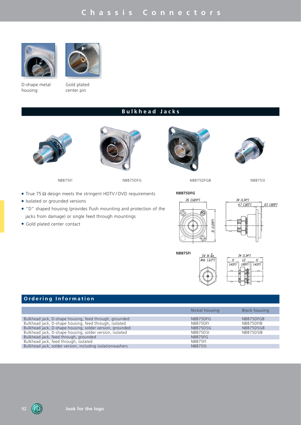# **Chassis Connectors**





D-shape metal housing

Gold plated center pin

## **Bulkhead Jacks**









NBB75FI NBB75DFG NBB75DFGB NBB75SI

- True 75  $\Omega$  design meets the stringent HDTV / DVD requirements
- Isolated or grounded versions
- "D" shaped housing (provides flush mounting and protection of the jacks from damage) or single feed through mountings
- **.** Gold plated center contact





**NBB75FI**





## **Ordering Information**

| Nickel housing | Black housing |
|----------------|---------------|
|                |               |
|                | NBB75DFGB     |
| NBB75DFI       | NBB75DFIB     |
| NBB75DSG       | NBB75DSGB     |
| NBB75DSI       | NBB75DSIB     |
| NBB75FG        |               |
| NBB75FI        |               |
| NBB75SI        |               |
|                | NBB75DFG      |

92